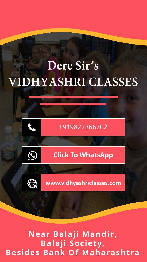# Dere Sir's **VIDHYASHRI CLASSES**



**Near Balaji Mandir, Balaji Society, Besides Bank Of Maharashtra**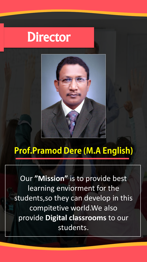# Director



### **Prof.Pramod Dere (M.A English)**

Our **"Mission"** is to provide best learning enviorment for the students,so they can develop in this compitetive world.We also provide **Digital classrooms** to our students.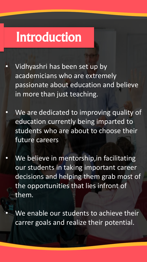# Introduction

- Vidhyashri has been set up by academicians who are extremely passionate about education and believe in more than just teaching.
- We are dedicated to improving quality of education currently being imparted to students who are about to choose their future careers
- We believe in mentorship, in facilitating our students in taking important career decisions and helping them grab most of the opportunities that lies infront of them.

We enable our students to achieve their carrer goals and realize their potential.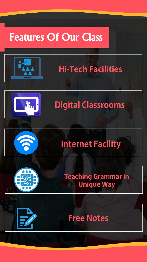## Features Of Our Class





### **Digital Classrooms**



### **Internet Facility**

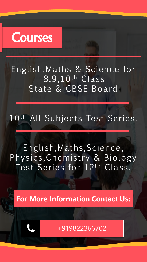## Courses

English, Maths & Science for 8,9,10th Class State & CBSE Board

### 10th All Subjects Test Series.

English,Maths,Science, Physics, Chemistry & Biology Test Series for 12th Class.

**For More Information Contact Us:**



[+919822366702](tel:+919924420898)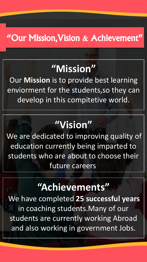#### "Our Mission,Vision & Achievement"

### **"Mission"**

Our **Mission** is to provide best learning enviorment for the students,so they can develop in this compitetive world.

## **"Vision"**

We are dedicated to improving quality of education currently being imparted to students who are about to choose their future careers.

### **"Achievements"**

.We have completed **25 successful years**  in coaching students.Many of our students are currently working Abroad and also working in government Jobs.